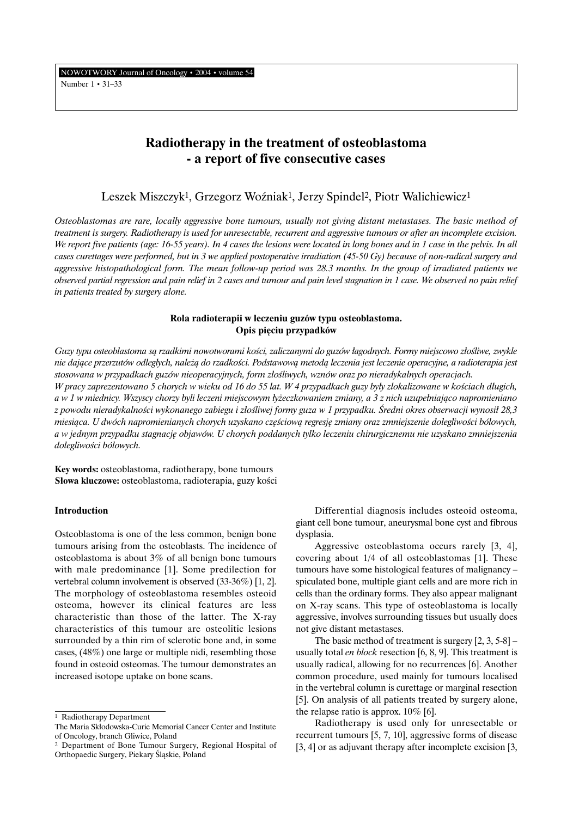# **Radiotherapy in the treatment of osteoblastoma - a report of five consecutive cases**

# Leszek Miszczyk<sup>1</sup>, Grzegorz Woźniak<sup>1</sup>, Jerzy Spindel<sup>2</sup>, Piotr Walichiewicz<sup>1</sup>

*Osteoblastomas are rare, locally aggressive bone tumours, usually not giving distant metastases. The basic method of treatment is surgery. Radiotherapy is used for unresectable, recurrent and aggressive tumours or after an incomplete excision. We report five patients (age: 16-55 years). In 4 cases the lesions were located in long bones and in 1 case in the pelvis. In all cases curettages were performed, but in 3 we applied postoperative irradiation (45-50 Gy) because of non-radical surgery and aggressive histopathological form. The mean follow-up period was 28.3 months. In the group of irradiated patients we observed partial regression and pain relief in 2 cases and tumour and pain level stagnation in 1 case. We observed no pain relief in patients treated by surgery alone.*

## **Rola radioterapii w leczeniu guzów typu osteoblastoma. Opis pięciu przypadków**

*Guzy typu osteoblastoma sà rzadkimi nowotworami koÊci, zaliczanymi do guzów ∏agodnych. Formy miejscowo z∏oÊliwe, zwykle nie dajàce przerzutów odleg∏ych, nale˝à do rzadkoÊci. Podstawowà metodà leczenia jest leczenie operacyjne, a radioterapia jest stosowana w przypadkach guzów nieoperacyjnych, form z∏oÊliwych, wznów oraz po nieradykalnych operacjach. W pracy zaprezentowano 5 chorych w wieku od 16 do 55 lat. W 4 przypadkach guzy były zlokalizowane w kościach długich,* a w 1 w miednicy. Wszyscy chorzy byli leczeni miejscowym łyżeczkowaniem zmiany, a 3 z nich uzupełniająco napromieniano *z powodu nieradykalnoÊci wykonanego zabiegu i z∏oÊliwej formy guza w 1 przypadku. Âredni okres obserwacji wynosi∏ 28,3* miesiąca. U dwóch napromienianych chorych uzyskano częściową regresję zmiany oraz zmniejszenie dolegliwości bólowych, *a w jednym przypadku stagnacj´ objawów. U chorych poddanych tylko leczeniu chirurgicznemu nie uzyskano zmniejszenia dolegliwoÊci bólowych.*

**Key words:** osteoblastoma, radiotherapy, bone tumours **Słowa kluczowe:** osteoblastoma, radioterapia, guzy kości

### **Introduction**

Osteoblastoma is one of the less common, benign bone tumours arising from the osteoblasts. The incidence of osteoblastoma is about 3% of all benign bone tumours with male predominance [1]. Some predilection for vertebral column involvement is observed (33-36%) [1, 2]. The morphology of osteoblastoma resembles osteoid osteoma, however its clinical features are less characteristic than those of the latter. The X-ray characteristics of this tumour are osteolitic lesions surrounded by a thin rim of sclerotic bone and, in some cases, (48%) one large or multiple nidi, resembling those found in osteoid osteomas. The tumour demonstrates an increased isotope uptake on bone scans.

Differential diagnosis includes osteoid osteoma, giant cell bone tumour, aneurysmal bone cyst and fibrous dysplasia.

Aggressive osteoblastoma occurs rarely [3, 4], covering about 1/4 of all osteoblastomas [1]. These tumours have some histological features of malignancy – spiculated bone, multiple giant cells and are more rich in cells than the ordinary forms. They also appear malignant on X-ray scans. This type of osteoblastoma is locally aggressive, involves surrounding tissues but usually does not give distant metastases.

The basic method of treatment is surgery  $[2, 3, 5-8]$  – usually total *en block* resection [6, 8, 9]. This treatment is usually radical, allowing for no recurrences [6]. Another common procedure, used mainly for tumours localised in the vertebral column is curettage or marginal resection [5]. On analysis of all patients treated by surgery alone, the relapse ratio is approx. 10% [6].

Radiotherapy is used only for unresectable or recurrent tumours [5, 7, 10], aggressive forms of disease [3, 4] or as adjuvant therapy after incomplete excision [3,

<sup>1</sup> Radiotherapy Department

The Maria Skłodowska-Curie Memorial Cancer Center and Institute of Oncology, branch Gliwice, Poland

<sup>2</sup> Department of Bone Tumour Surgery, Regional Hospital of Orthopaedic Surgery, Piekary Âlàskie, Poland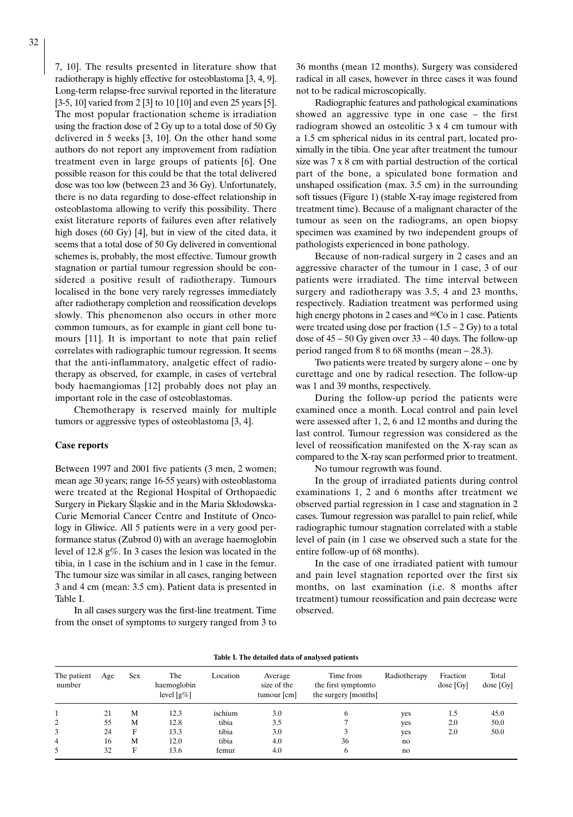7, 10]. The results presented in literature show that radiotherapy is highly effective for osteoblastoma [3, 4, 9]. Long-term relapse-free survival reported in the literature [3-5, 10] varied from 2 [3] to 10 [10] and even 25 years [5]. The most popular fractionation scheme is irradiation using the fraction dose of 2 Gy up to a total dose of 50 Gy delivered in 5 weeks [3, 10]. On the other hand some authors do not report any improvement from radiation treatment even in large groups of patients [6]. One possible reason for this could be that the total delivered dose was too low (between 23 and 36 Gy). Unfortunately, there is no data regarding to dose-effect relationship in osteoblastoma allowing to verify this possibility. There exist literature reports of failures even after relatively high doses (60 Gy) [4], but in view of the cited data, it seems that a total dose of 50 Gy delivered in conventional schemes is, probably, the most effective. Tumour growth stagnation or partial tumour regression should be considered a positive result of radiotherapy. Tumours localised in the bone very rarely regresses immediately after radiotherapy completion and reossification develops slowly. This phenomenon also occurs in other more common tumours, as for example in giant cell bone tumours [11]. It is important to note that pain relief correlates with radiographic tumour regression. It seems that the anti-inflammatory, analgetic effect of radiotherapy as observed, for example, in cases of vertebral body haemangiomas [12] probably does not play an important role in the case of osteoblastomas.

Chemotherapy is reserved mainly for multiple tumors or aggressive types of osteoblastoma [3, 4].

#### **Case reports**

Between 1997 and 2001 five patients (3 men, 2 women; mean age 30 years; range 16-55 years) with osteoblastoma were treated at the Regional Hospital of Orthopaedic Surgery in Piekary Śląskie and in the Maria Skłodowska-Curie Memorial Cancer Centre and Institute of Oncology in Gliwice. All 5 patients were in a very good performance status (Zubrod 0) with an average haemoglobin level of 12.8 g%. In 3 cases the lesion was located in the tibia, in 1 case in the ischium and in 1 case in the femur. The tumour size was similar in all cases, ranging between 3 and 4 cm (mean: 3.5 cm). Patient data is presented in Table I.

In all cases surgery was the first-line treatment. Time from the onset of symptoms to surgery ranged from 3 to

36 months (mean 12 months). Surgery was considered radical in all cases, however in three cases it was found not to be radical microscopically.

Radiographic features and pathological examinations showed an aggressive type in one case – the first radiogram showed an osteolitic 3 x 4 cm tumour with a 1.5 cm spherical nidus in its central part, located proximally in the tibia. One year after treatment the tumour size was 7 x 8 cm with partial destruction of the cortical part of the bone, a spiculated bone formation and unshaped ossification (max. 3.5 cm) in the surrounding soft tissues (Figure 1) (stable X-ray image registered from treatment time). Because of a malignant character of the tumour as seen on the radiograms, an open biopsy specimen was examined by two independent groups of pathologists experienced in bone pathology.

Because of non-radical surgery in 2 cases and an aggressive character of the tumour in 1 case, 3 of our patients were irradiated. The time interval between surgery and radiotherapy was 3.5, 4 and 23 months, respectively. Radiation treatment was performed using high energy photons in 2 cases and <sup>60</sup>Co in 1 case. Patients were treated using dose per fraction  $(1.5 – 2 Gy)$  to a total dose of  $45 - 50$  Gy given over  $33 - 40$  days. The follow-up period ranged from 8 to 68 months (mean – 28.3).

Two patients were treated by surgery alone – one by curettage and one by radical resection. The follow-up was 1 and 39 months, respectively.

During the follow-up period the patients were examined once a month. Local control and pain level were assessed after 1, 2, 6 and 12 months and during the last control. Tumour regression was considered as the level of reossification manifested on the X-ray scan as compared to the X-ray scan performed prior to treatment.

No tumour regrowth was found.

In the group of irradiated patients during control examinations 1, 2 and 6 months after treatment we observed partial regression in 1 case and stagnation in 2 cases. Tumour regression was parallel to pain relief, while radiographic tumour stagnation correlated with a stable level of pain (in 1 case we observed such a state for the entire follow-up of 68 months).

In the case of one irradiated patient with tumour and pain level stagnation reported over the first six months, on last examination (i.e. 8 months after treatment) tumour reossification and pain decrease were observed.

| Table I. The detailed data of analysed patients |     |            |                                     |          |                                       |                                                           |              |                         |                      |
|-------------------------------------------------|-----|------------|-------------------------------------|----------|---------------------------------------|-----------------------------------------------------------|--------------|-------------------------|----------------------|
| The patient<br>number                           | Age | <b>Sex</b> | The<br>haemoglobin<br>level $[g\%]$ | Location | Average<br>size of the<br>tumour [cm] | Time from<br>the first symptom to<br>the surgery [months] | Radiotherapy | Fraction<br>$dose$ [Gy] | Total<br>$dose$ [Gy] |
|                                                 | 21  | М          | 12.3                                | ischium  | 3.0                                   | h                                                         | yes          | 1.5                     | 45.0                 |
| 2                                               | 55  | M          | 12.8                                | tibia    | 3.5                                   |                                                           | yes          | 2.0                     | 50.0                 |
|                                                 | 24  | F          | 13.3                                | tibia    | 3.0                                   |                                                           | yes          | 2.0                     | 50.0                 |
| 4                                               | 16  | M          | 12.0                                | tibia    | 4.0                                   | 36                                                        | no           |                         |                      |
|                                                 | 32  | F          | 13.6                                | femur    | 4.0                                   | o                                                         | no           |                         |                      |

#### **Table I. The detailed data of analysed patients**